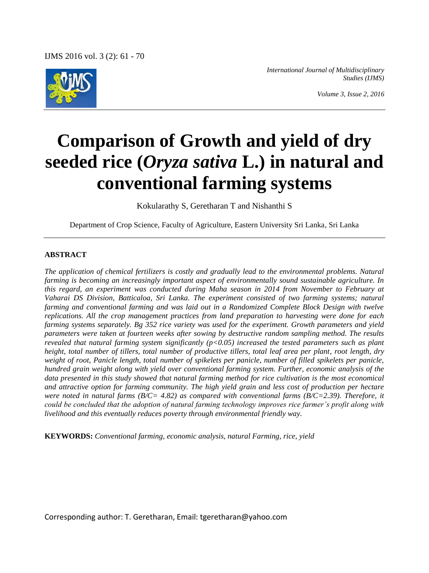

*International Journal of Multidisciplinary Studies (IJMS)*

*Volume 3, Issue 2, 2016*

# **Comparison of Growth and yield of dry seeded rice (***Oryza sativa* **L.) in natural and conventional farming systems**

Kokularathy S, Geretharan T and Nishanthi S

Department of Crop Science, Faculty of Agriculture, Eastern University Sri Lanka, Sri Lanka

#### **ABSTRACT**

*The application of chemical fertilizers is costly and gradually lead to the environmental problems. Natural farming is becoming an increasingly important aspect of environmentally sound sustainable agriculture. In this regard, an experiment was conducted during Maha season in 2014 from November to February at Vaharai DS Division, Batticaloa, Sri Lanka. The experiment consisted of two farming systems; natural farming and conventional farming and was laid out in a Randomized Complete Block Design with twelve replications. All the crop management practices from land preparation to harvesting were done for each farming systems separately. Bg 352 rice variety was used for the experiment. Growth parameters and yield parameters were taken at fourteen weeks after sowing by destructive random sampling method. The results revealed that natural farming system significantly (p<0.05) increased the tested parameters such as plant height, total number of tillers, total number of productive tillers, total leaf area per plant, root length, dry weight of root, Panicle length, total number of spikelets per panicle, number of filled spikelets per panicle, hundred grain weight along with yield over conventional farming system. Further, economic analysis of the data presented in this study showed that natural farming method for rice cultivation is the most economical and attractive option for farming community. The high yield grain and less cost of production per hectare were noted in natural farms (B/C= 4.82) as compared with conventional farms (B/C=2.39). Therefore, it could be concluded that the adoption of natural farming technology improves rice farmer's profit along with livelihood and this eventually reduces poverty through environmental friendly way.*

**KEYWORDS:** *Conventional farming, economic analysis, natural Farming, rice, yield*

Corresponding author: T. Geretharan, Email: tgeretharan@yahoo.com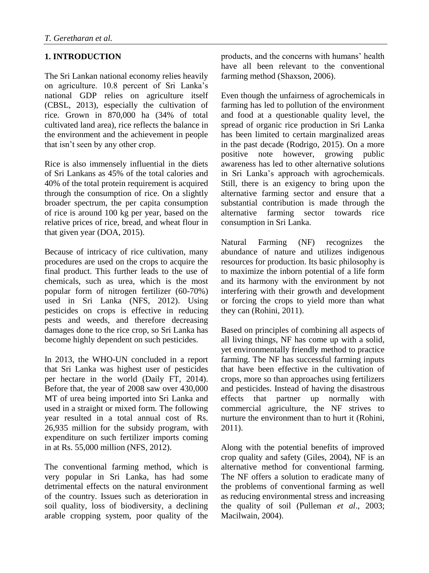# **1. INTRODUCTION**

The Sri Lankan national economy relies heavily on agriculture. 10.8 percent of Sri Lanka's national GDP relies on agriculture itself (CBSL, 2013), especially the cultivation of rice. Grown in 870,000 ha (34% of total cultivated land area), rice reflects the balance in the environment and the achievement in people that isn't seen by any other crop.

Rice is also immensely influential in the diets of Sri Lankans as 45% of the total calories and 40% of the total protein requirement is acquired through the consumption of rice. On a slightly broader spectrum, the per capita consumption of rice is around 100 kg per year, based on the relative prices of rice, bread, and wheat flour in that given year (DOA, 2015).

Because of intricacy of rice cultivation, many procedures are used on the crops to acquire the final product. This further leads to the use of chemicals, such as urea, which is the most popular form of nitrogen fertilizer (60-70%) used in Sri Lanka (NFS, 2012). Using pesticides on crops is effective in reducing pests and weeds, and therefore decreasing damages done to the rice crop, so Sri Lanka has become highly dependent on such pesticides.

In 2013, the WHO-UN concluded in a report that Sri Lanka was highest user of pesticides per hectare in the world (Daily FT, 2014). Before that, the year of 2008 saw over 430,000 MT of urea being imported into Sri Lanka and used in a straight or mixed form. The following year resulted in a total annual cost of Rs. 26,935 million for the subsidy program, with expenditure on such fertilizer imports coming in at Rs. 55,000 million (NFS, 2012).

The conventional farming method, which is very popular in Sri Lanka, has had some detrimental effects on the natural environment of the country. Issues such as deterioration in soil quality, loss of biodiversity, a declining arable cropping system, poor quality of the products, and the concerns with humans' health have all been relevant to the conventional farming method (Shaxson, 2006).

Even though the unfairness of agrochemicals in farming has led to pollution of the environment and food at a questionable quality level, the spread of organic rice production in Sri Lanka has been limited to certain marginalized areas in the past decade (Rodrigo, 2015). On a more positive note however, growing public awareness has led to other alternative solutions in Sri Lanka's approach with agrochemicals. Still, there is an exigency to bring upon the alternative farming sector and ensure that a substantial contribution is made through the alternative farming sector towards rice consumption in Sri Lanka.

Natural Farming (NF) recognizes the abundance of nature and utilizes indigenous resources for production. Its basic philosophy is to maximize the inborn potential of a life form and its harmony with the environment by not interfering with their growth and development or forcing the crops to yield more than what they can (Rohini, 2011).

Based on principles of combining all aspects of all living things, NF has come up with a solid, yet environmentally friendly method to practice farming. The NF has successful farming inputs that have been effective in the cultivation of crops, more so than approaches using fertilizers and pesticides. Instead of having the disastrous effects that partner up normally with commercial agriculture, the NF strives to nurture the environment than to hurt it (Rohini, 2011).

Along with the potential benefits of improved crop quality and safety (Giles, 2004), NF is an alternative method for conventional farming. The NF offers a solution to eradicate many of the problems of conventional farming as well as reducing environmental stress and increasing the quality of soil (Pulleman *et al*., 2003; Macilwain, 2004).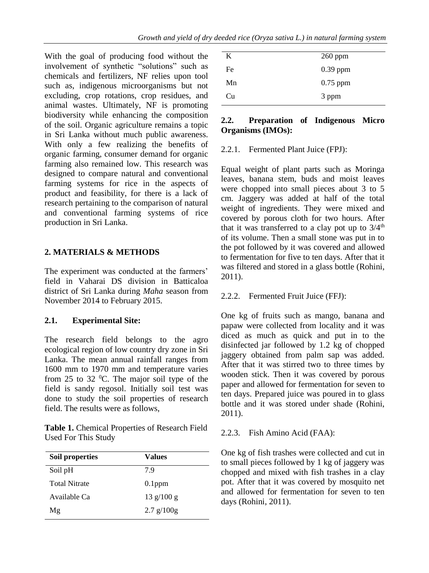With the goal of producing food without the involvement of synthetic "solutions" such as chemicals and fertilizers, NF relies upon tool such as, indigenous microorganisms but not excluding, crop rotations, crop residues, and animal wastes. Ultimately, NF is promoting biodiversity while enhancing the composition of the soil. Organic agriculture remains a topic in Sri Lanka without much public awareness. With only a few realizing the benefits of organic farming, consumer demand for organic farming also remained low. This research was designed to compare natural and conventional farming systems for rice in the aspects of product and feasibility, for there is a lack of research pertaining to the comparison of natural and conventional farming systems of rice production in Sri Lanka.

## **2. MATERIALS & METHODS**

The experiment was conducted at the farmers' field in Vaharai DS division in Batticaloa district of Sri Lanka during *Maha* season from November 2014 to February 2015.

## **2.1. Experimental Site:**

The research field belongs to the agro ecological region of low country dry zone in Sri Lanka. The mean annual rainfall ranges from 1600 mm to 1970 mm and temperature varies from 25 to 32  $^{\circ}$ C. The major soil type of the field is sandy regosol. Initially soil test was done to study the soil properties of research field. The results were as follows,

| Table 1. Chemical Properties of Research Field |
|------------------------------------------------|
| <b>Used For This Study</b>                     |

| Soil properties      | Values                             |
|----------------------|------------------------------------|
| Soil pH              | 7.9                                |
| <b>Total Nitrate</b> | $0.1$ ppm                          |
| Available Ca         | $13 \frac{\text{g}}{100 \text{g}}$ |
| Μg                   | $2.7$ g/ $100g$                    |

| K  | $260$ ppm  |
|----|------------|
| Fe | $0.39$ ppm |
| Mn | $0.75$ ppm |
| Cu | 3 ppm      |

### **2.2. Preparation of Indigenous Micro Organisms (IMOs):**

2.2.1. Fermented Plant Juice (FPJ):

Equal weight of plant parts such as Moringa leaves, banana stem, buds and moist leaves were chopped into small pieces about 3 to 5 cm. Jaggery was added at half of the total weight of ingredients. They were mixed and covered by porous cloth for two hours. After that it was transferred to a clay pot up to  $3/4<sup>th</sup>$ of its volume. Then a small stone was put in to the pot followed by it was covered and allowed to fermentation for five to ten days. After that it was filtered and stored in a glass bottle (Rohini, 2011).

## 2.2.2. Fermented Fruit Juice (FFJ):

One kg of fruits such as mango, banana and papaw were collected from locality and it was diced as much as quick and put in to the disinfected jar followed by 1.2 kg of chopped jaggery obtained from palm sap was added. After that it was stirred two to three times by wooden stick. Then it was covered by porous paper and allowed for fermentation for seven to ten days. Prepared juice was poured in to glass bottle and it was stored under shade (Rohini, 2011).

2.2.3. Fish Amino Acid (FAA):

One kg of fish trashes were collected and cut in to small pieces followed by 1 kg of jaggery was chopped and mixed with fish trashes in a clay pot. After that it was covered by mosquito net and allowed for fermentation for seven to ten days (Rohini, 2011).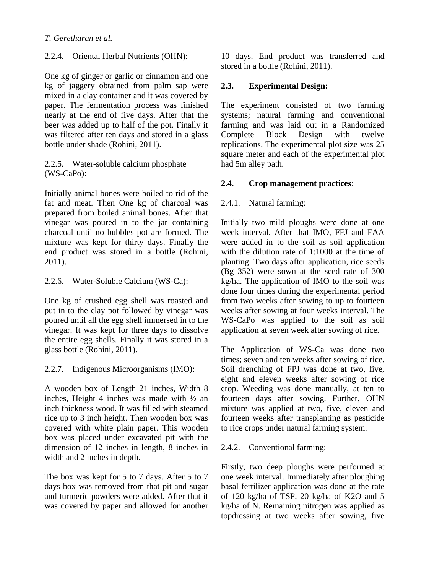2.2.4. Oriental Herbal Nutrients (OHN):

One kg of ginger or garlic or cinnamon and one kg of jaggery obtained from palm sap were mixed in a clay container and it was covered by paper. The fermentation process was finished nearly at the end of five days. After that the beer was added up to half of the pot. Finally it was filtered after ten days and stored in a glass bottle under shade (Rohini, 2011).

## 2.2.5. Water-soluble calcium phosphate (WS-CaPo):

Initially animal bones were boiled to rid of the fat and meat. Then One kg of charcoal was prepared from boiled animal bones. After that vinegar was poured in to the jar containing charcoal until no bubbles pot are formed. The mixture was kept for thirty days. Finally the end product was stored in a bottle (Rohini, 2011).

2.2.6. Water-Soluble Calcium (WS-Ca):

One kg of crushed egg shell was roasted and put in to the clay pot followed by vinegar was poured until all the egg shell immersed in to the vinegar. It was kept for three days to dissolve the entire egg shells. Finally it was stored in a glass bottle (Rohini, 2011).

2.2.7. Indigenous Microorganisms (IMO):

A wooden box of Length 21 inches, Width 8 inches, Height 4 inches was made with ½ an inch thickness wood. It was filled with steamed rice up to 3 inch height. Then wooden box was covered with white plain paper. This wooden box was placed under excavated pit with the dimension of 12 inches in length, 8 inches in width and 2 inches in depth.

The box was kept for 5 to 7 days. After 5 to 7 days box was removed from that pit and sugar and turmeric powders were added. After that it was covered by paper and allowed for another 10 days. End product was transferred and stored in a bottle (Rohini, 2011).

# **2.3. Experimental Design:**

The experiment consisted of two farming systems; natural farming and conventional farming and was laid out in a Randomized Complete Block Design with twelve replications. The experimental plot size was 25 square meter and each of the experimental plot had 5m alley path.

## **2.4. Crop management practices**:

## 2.4.1. Natural farming:

Initially two mild ploughs were done at one week interval. After that IMO, FFJ and FAA were added in to the soil as soil application with the dilution rate of 1:1000 at the time of planting. Two days after application, rice seeds (Bg 352) were sown at the seed rate of 300 kg/ha. The application of IMO to the soil was done four times during the experimental period from two weeks after sowing to up to fourteen weeks after sowing at four weeks interval. The WS-CaPo was applied to the soil as soil application at seven week after sowing of rice.

The Application of WS-Ca was done two times; seven and ten weeks after sowing of rice. Soil drenching of FPJ was done at two, five, eight and eleven weeks after sowing of rice crop. Weeding was done manually, at ten to fourteen days after sowing. Further, OHN mixture was applied at two, five, eleven and fourteen weeks after transplanting as pesticide to rice crops under natural farming system.

## 2.4.2. Conventional farming:

Firstly, two deep ploughs were performed at one week interval. Immediately after ploughing basal fertilizer application was done at the rate of 120 kg/ha of TSP, 20 kg/ha of K2O and 5 kg/ha of N. Remaining nitrogen was applied as topdressing at two weeks after sowing, five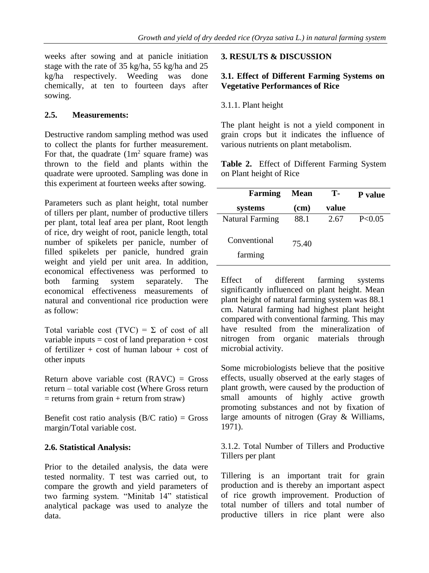weeks after sowing and at panicle initiation stage with the rate of 35 kg/ha, 55 kg/ha and 25 kg/ha respectively. Weeding was done chemically, at ten to fourteen days after sowing.

## **2.5. Measurements:**

Destructive random sampling method was used to collect the plants for further measurement. For that, the quadrate  $(1m^2 \text{ square frame})$  was thrown to the field and plants within the quadrate were uprooted. Sampling was done in this experiment at fourteen weeks after sowing.

Parameters such as plant height, total number of tillers per plant, number of productive tillers per plant, total leaf area per plant, Root length of rice, dry weight of root, panicle length, total number of spikelets per panicle, number of filled spikelets per panicle, hundred grain weight and yield per unit area. In addition, economical effectiveness was performed to both farming system separately. The economical effectiveness measurements of natural and conventional rice production were as follow:

Total variable cost (TVC) =  $\Sigma$  of cost of all variable inputs  $=$  cost of land preparation  $+$  cost of fertilizer + cost of human labour + cost of other inputs

Return above variable cost  $(RAVC) = Gross$ return – total variable cost (Where Gross return  $=$  returns from grain  $+$  return from straw)

Benefit cost ratio analysis  $(B/C \text{ ratio}) = \text{Gross}$ margin/Total variable cost.

## **2.6. Statistical Analysis:**

Prior to the detailed analysis, the data were tested normality. T test was carried out, to compare the growth and yield parameters of two farming system. "Minitab 14" statistical analytical package was used to analyze the data.

#### **3. RESULTS & DISCUSSION**

#### **3.1. Effect of Different Farming Systems on Vegetative Performances of Rice**

### 3.1.1. Plant height

The plant height is not a yield component in grain crops but it indicates the influence of various nutrients on plant metabolism.

**Table 2.** Effect of Different Farming System on Plant height of Rice

| <b>Farming</b>          | <b>Mean</b> | <b>T-</b> | P value |
|-------------------------|-------------|-----------|---------|
| systems                 | (cm)        | value     |         |
| <b>Natural Farming</b>  | 88.1        | 2.67      | P<0.05  |
| Conventional<br>farming | 75.40       |           |         |

Effect of different farming systems significantly influenced on plant height. Mean plant height of natural farming system was 88.1 cm. Natural farming had highest plant height compared with conventional farming. This may have resulted from the mineralization of nitrogen from organic materials through microbial activity.

Some microbiologists believe that the positive effects, usually observed at the early stages of plant growth, were caused by the production of small amounts of highly active growth promoting substances and not by fixation of large amounts of nitrogen (Gray & Williams, 1971).

3.1.2. Total Number of Tillers and Productive Tillers per plant

Tillering is an important trait for grain production and is thereby an important aspect of rice growth improvement. Production of total number of tillers and total number of productive tillers in rice plant were also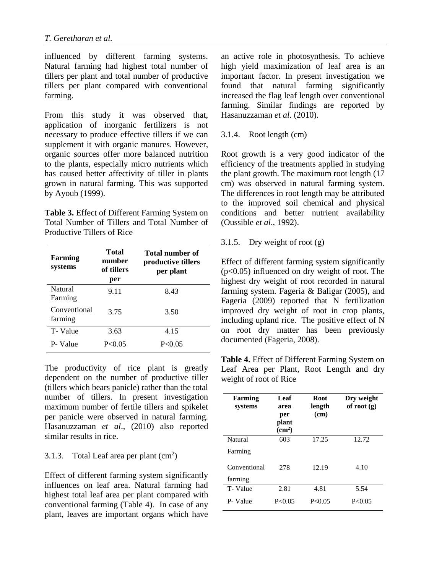influenced by different farming systems. Natural farming had highest total number of tillers per plant and total number of productive tillers per plant compared with conventional farming.

From this study it was observed that, application of inorganic fertilizers is not necessary to produce effective tillers if we can supplement it with organic manures. However, organic sources offer more balanced nutrition to the plants, especially micro nutrients which has caused better affectivity of tiller in plants grown in natural farming. This was supported by Ayoub (1999).

**Table 3.** Effect of Different Farming System on Total Number of Tillers and Total Number of Productive Tillers of Rice

| Farming<br>systems        | Total<br>number<br>of tillers<br>per | Total number of<br>productive tillers<br>per plant |
|---------------------------|--------------------------------------|----------------------------------------------------|
| <b>Natural</b><br>Farming | 9.11                                 | 8.43                                               |
| Conventional<br>farming   | 3.75                                 | 3.50                                               |
| T-Value                   | 3.63                                 | 4.15                                               |
| P-Value                   | P < 0.05                             | P < 0.05                                           |

The productivity of rice plant is greatly dependent on the number of productive tiller (tillers which bears panicle) rather than the total number of tillers. In present investigation maximum number of fertile tillers and spikelet per panicle were observed in natural farming. Hasanuzzaman *et al*., (2010) also reported similar results in rice.

#### 3.1.3. Total Leaf area per plant  $(cm<sup>2</sup>)$

Effect of different farming system significantly influences on leaf area. Natural farming had highest total leaf area per plant compared with conventional farming (Table 4). In case of any plant, leaves are important organs which have

an active role in photosynthesis. To achieve high yield maximization of leaf area is an important factor. In present investigation we found that natural farming significantly increased the flag leaf length over conventional farming. Similar findings are reported by Hasanuzzaman *et al*. (2010).

#### 3.1.4. Root length (cm)

Root growth is a very good indicator of the efficiency of the treatments applied in studying the plant growth. The maximum root length (17 cm) was observed in natural farming system. The differences in root length may be attributed to the improved soil chemical and physical conditions and better nutrient availability (Oussible *et al*., 1992).

#### 3.1.5. Dry weight of root (g)

Effect of different farming system significantly  $(p<0.05)$  influenced on dry weight of root. The highest dry weight of root recorded in natural farming system. Fageria & Baligar (2005), and Fageria (2009) reported that N fertilization improved dry weight of root in crop plants, including upland rice. The positive effect of N on root dry matter has been previously documented (Fageria, 2008).

**Table 4.** Effect of Different Farming System on Leaf Area per Plant, Root Length and dry weight of root of Rice

| Farming<br>systems | Leaf<br>area<br>per<br>plant<br>$\text{cm}^2$ | <b>Root</b><br>length<br>(cm) | Dry weight<br>of root $(g)$ |
|--------------------|-----------------------------------------------|-------------------------------|-----------------------------|
| Natural            | 603                                           | 17.25                         | 12.72                       |
| Farming            |                                               |                               |                             |
| Conventional       | 278                                           | 12.19                         | 4.10                        |
| farming            |                                               |                               |                             |
| T-Value            | 2.81                                          | 4.81                          | 5.54                        |
| P-Value            | P < 0.05                                      | P < 0.05                      | P < 0.05                    |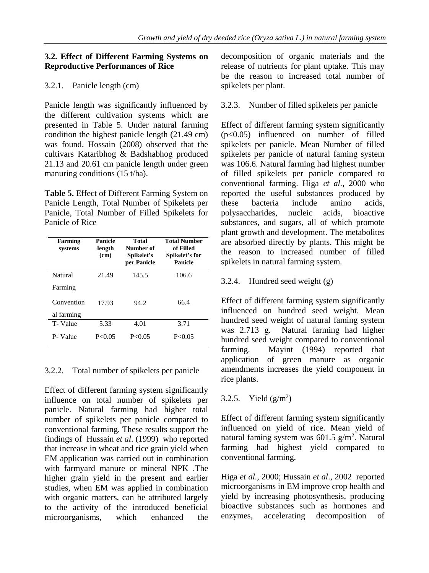#### **3.2. Effect of Different Farming Systems on Reproductive Performances of Rice**

## 3.2.1. Panicle length (cm)

Panicle length was significantly influenced by the different cultivation systems which are presented in Table 5. Under natural farming condition the highest panicle length (21.49 cm) was found. Hossain (2008) observed that the cultivars Kataribhog & Badshabhog produced 21.13 and 20.61 cm panicle length under green manuring conditions (15 t/ha).

**Table 5.** Effect of Different Farming System on Panicle Length, Total Number of Spikelets per Panicle, Total Number of Filled Spikelets for Panicle of Rice

| Farming<br>systems | Panicle<br>length<br>(cm) | <b>Total</b><br>Number of<br>Spikelet's<br>per Panicle | <b>Total Number</b><br>of Filled<br>Spikelet's for<br>Panicle |
|--------------------|---------------------------|--------------------------------------------------------|---------------------------------------------------------------|
| Natural            | 21.49                     | 145.5                                                  | 106.6                                                         |
| Farming            |                           |                                                        |                                                               |
| Convention         | 17.93                     | 94.2                                                   | 66.4                                                          |
| al farming         |                           |                                                        |                                                               |
| T-Value            | 5.33                      | 4.01                                                   | 3.71                                                          |
| P-Value            | P < 0.05                  | P < 0.05                                               | P < 0.05                                                      |

## 3.2.2. Total number of spikelets per panicle

Effect of different farming system significantly influence on total number of spikelets per panicle. Natural farming had higher total number of spikelets per panicle compared to conventional farming. These results support the findings of Hussain *et al*. (1999) who reported that increase in wheat and rice grain yield when EM application was carried out in combination with farmyard manure or mineral NPK .The higher grain yield in the present and earlier studies, when EM was applied in combination with organic matters, can be attributed largely to the activity of the introduced beneficial microorganisms, which enhanced the

decomposition of organic materials and the release of nutrients for plant uptake. This may be the reason to increased total number of spikelets per plant.

3.2.3. Number of filled spikelets per panicle

Effect of different farming system significantly (p<0.05) influenced on number of filled spikelets per panicle. Mean Number of filled spikelets per panicle of natural faming system was 106.6. Natural farming had highest number of filled spikelets per panicle compared to conventional farming. Higa *et al.*, 2000 who reported the useful substances produced by these bacteria include amino acids, polysaccharides, nucleic acids, bioactive substances, and sugars, all of which promote plant growth and development. The metabolites are absorbed directly by plants. This might be the reason to increased number of filled spikelets in natural farming system.

## 3.2.4. Hundred seed weight (g)

Effect of different farming system significantly influenced on hundred seed weight. Mean hundred seed weight of natural faming system was 2.713 g. Natural farming had higher hundred seed weight compared to conventional farming. Mayint (1994) reported that application of green manure as organic amendments increases the yield component in rice plants.

# 3.2.5. Yield  $(g/m^2)$

Effect of different farming system significantly influenced on yield of rice. Mean yield of natural faming system was  $601.5$  g/m<sup>2</sup>. Natural farming had highest yield compared to conventional farming.

Higa *et al.*, 2000; Hussain *et al*., 2002 reported microorganisms in EM improve crop health and yield by increasing photosynthesis, producing bioactive substances such as hormones and enzymes, accelerating decomposition of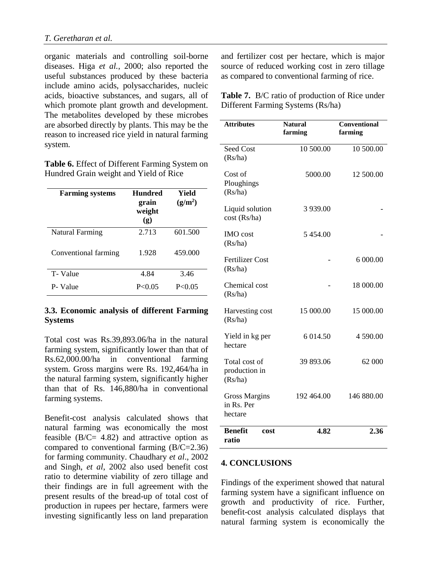organic materials and controlling soil-borne diseases. Higa *et al.*, 2000; also reported the useful substances produced by these bacteria include amino acids, polysaccharides, nucleic acids, bioactive substances, and sugars, all of which promote plant growth and development. The metabolites developed by these microbes are absorbed directly by plants. This may be the reason to increased rice yield in natural farming system.

**Table 6.** Effect of Different Farming System on Hundred Grain weight and Yield of Rice

| <b>Farming systems</b> | <b>Hundred</b><br>grain<br>weight<br>$\left( \mathbf{g} \right)$ | Yield<br>$(g/m^2)$ |
|------------------------|------------------------------------------------------------------|--------------------|
| <b>Natural Farming</b> | 2.713                                                            | 601.500            |
| Conventional farming   | 1.928                                                            | 459.000            |
| T-Value                | 4.84                                                             | 3.46               |
| P-Value                | P < 0.05                                                         | P < 0.05           |

#### **3.3. Economic analysis of different Farming Systems**

Total cost was Rs.39,893.06/ha in the natural farming system, significantly lower than that of Rs.62,000.00/ha in conventional farming system. Gross margins were Rs. 192,464/ha in the natural farming system, significantly higher than that of Rs. 146,880/ha in conventional farming systems.

Benefit-cost analysis calculated shows that natural farming was economically the most feasible  $(B/C= 4.82)$  and attractive option as compared to conventional farming (B/C=2.36) for farming community. Chaudhary *et al*., 2002 and Singh, *et al*, 2002 also used benefit cost ratio to determine viability of zero tillage and their findings are in full agreement with the present results of the bread-up of total cost of production in rupees per hectare, farmers were investing significantly less on land preparation

and fertilizer cost per hectare, which is major source of reduced working cost in zero tillage as compared to conventional farming of rice.

**Table 7.** B/C ratio of production of Rice under Different Farming Systems (Rs/ha)

| <b>Attributes</b>                             | <b>Natural</b><br>farming | <b>Conventional</b><br>farming |
|-----------------------------------------------|---------------------------|--------------------------------|
| Seed Cost<br>(Rs/ha)                          | 10 500.00                 | 10 500.00                      |
| Cost of<br>Ploughings<br>(Rs/ha)              | 5000.00                   | 12 500.00                      |
| Liquid solution<br>cost (Rs/ha)               | 3 939.00                  |                                |
| <b>IMO</b> cost<br>(Rs/ha)                    | 5454.00                   |                                |
| <b>Fertilizer Cost</b><br>(Rs/ha)             |                           | 6 000.00                       |
| Chemical cost<br>(Rs/ha)                      |                           | 18 000.00                      |
| Harvesting cost<br>(Rs/ha)                    | 15 000.00                 | 15 000.00                      |
| Yield in kg per<br>hectare                    | 6 014.50                  | 4 590.00                       |
| Total cost of<br>production in<br>(Rs/ha)     | 39 893.06                 | 62 000                         |
| <b>Gross Margins</b><br>in Rs. Per<br>hectare | 192 464.00                | 146 880.00                     |
| <b>Benefit</b><br>cost<br>ratio               | 4.82                      | 2.36                           |

#### **4. CONCLUSIONS**

Findings of the experiment showed that natural farming system have a significant influence on growth and productivity of rice. Further, benefit-cost analysis calculated displays that natural farming system is economically the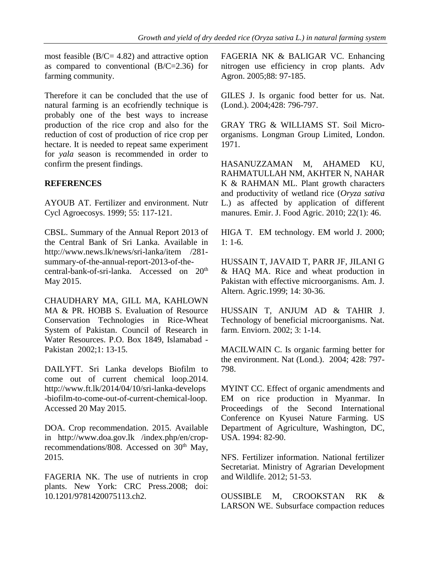most feasible  $(B/C = 4.82)$  and attractive option as compared to conventional (B/C=2.36) for farming community.

Therefore it can be concluded that the use of natural farming is an ecofriendly technique is probably one of the best ways to increase production of the rice crop and also for the reduction of cost of production of rice crop per hectare. It is needed to repeat same experiment for *yala* season is recommended in order to confirm the present findings.

#### **REFERENCES**

AYOUB AT. Fertilizer and environment. Nutr Cycl Agroecosys. 1999; 55: 117-121.

CBSL. Summary of the Annual Report 2013 of the Central Bank of Sri Lanka. Available in http://www.news.lk/news/sri-lanka/item /281 summary-of-the-annual-report-2013-of-thecentral-bank-of-sri-lanka. Accessed on 20th May 2015.

CHAUDHARY MA, GILL MA, KAHLOWN MA & PR. HOBB S. Evaluation of Resource Conservation Technologies in Rice-Wheat System of Pakistan. Council of Research in Water Resources. P.O. Box 1849, Islamabad - Pakistan 2002;1: 13-15.

DAILYFT. Sri Lanka develops Biofilm to come out of current chemical loop.2014. http://www.ft.lk/2014/04/10/sri-lanka-develops -biofilm-to-come-out-of-current-chemical-loop. Accessed 20 May 2015.

DOA. Crop recommendation. 2015. Available in http://www.doa.gov.lk /index.php/en/croprecommendations/808. Accessed on  $30<sup>th</sup>$  May, 2015.

FAGERIA NK. The use of nutrients in crop plants. New York: CRC Press.2008; doi: 10.1201/9781420075113.ch2.

FAGERIA NK & BALIGAR VC. Enhancing nitrogen use efficiency in crop plants. Adv Agron. 2005;88: 97-185.

GILES J. Is organic food better for us. Nat. (Lond.). 2004;428: 796-797.

GRAY TRG & WILLIAMS ST. Soil Microorganisms. Longman Group Limited, London. 1971.

HASANUZZAMAN M, AHAMED KU, RAHMATULLAH NM, AKHTER N, NAHAR K & RAHMAN ML. Plant growth characters and productivity of wetland rice (*Oryza sativa* L.) as affected by application of different manures. Emir. J. Food Agric. 2010; 22(1): 46.

HIGA T. EM technology. EM world J. 2000;  $1: 1-6.$ 

HUSSAIN T, JAVAID T, PARR JF, JILANI G & HAQ MA. Rice and wheat production in Pakistan with effective microorganisms. Am. J. Altern. Agric.1999; 14: 30-36.

HUSSAIN T, ANJUM AD & TAHIR J. Technology of beneficial microorganisms. Nat. farm. Enviorn. 2002; 3: 1-14.

MACILWAIN C. Is organic farming better for the environment. Nat (Lond.). 2004; 428: 797- 798.

MYINT CC. Effect of organic amendments and EM on rice production in Myanmar. In Proceedings of the Second International Conference on Kyusei Nature Farming. US Department of Agriculture, Washington, DC, USA. 1994: 82-90.

NFS. Fertilizer information. National fertilizer Secretariat. Ministry of Agrarian Development and Wildlife. 2012; 51-53.

OUSSIBLE M, CROOKSTAN RK & LARSON WE. Subsurface compaction reduces